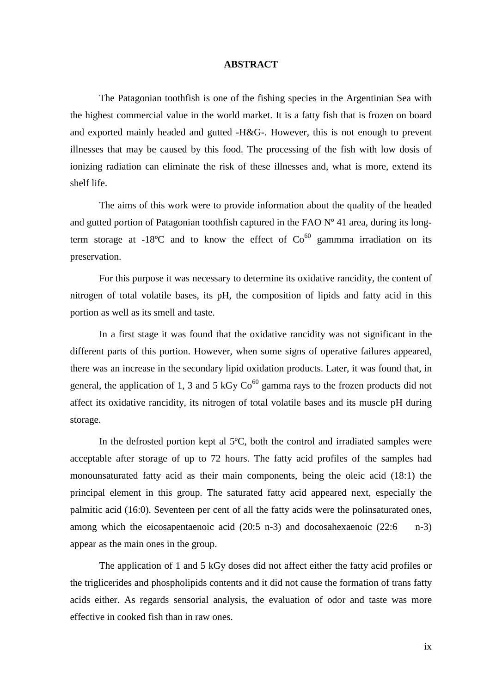## **ABSTRACT**

The Patagonian toothfish is one of the fishing species in the Argentinian Sea with the highest commercial value in the world market. It is a fatty fish that is frozen on board and exported mainly headed and gutted -H&G-. However, this is not enough to prevent illnesses that may be caused by this food. The processing of the fish with low dosis of ionizing radiation can eliminate the risk of these illnesses and, what is more, extend its shelf life.

The aims of this work were to provide information about the quality of the headed and gutted portion of Patagonian toothfish captured in the FAO  $N^{\circ}$  41 area, during its longterm storage at -18°C and to know the effect of  $Co<sup>60</sup>$  gammma irradiation on its preservation.

For this purpose it was necessary to determine its oxidative rancidity, the content of nitrogen of total volatile bases, its pH, the composition of lipids and fatty acid in this portion as well as its smell and taste.

In a first stage it was found that the oxidative rancidity was not significant in the different parts of this portion. However, when some signs of operative failures appeared, there was an increase in the secondary lipid oxidation products. Later, it was found that, in general, the application of 1, 3 and 5 kGy  $Co^{60}$  gamma rays to the frozen products did not affect its oxidative rancidity, its nitrogen of total volatile bases and its muscle pH during storage.

In the defrosted portion kept al 5ºC, both the control and irradiated samples were acceptable after storage of up to 72 hours. The fatty acid profiles of the samples had monounsaturated fatty acid as their main components, being the oleic acid (18:1) the principal element in this group. The saturated fatty acid appeared next, especially the palmitic acid (16:0). Seventeen per cent of all the fatty acids were the polinsaturated ones, among which the eicosapentaenoic acid  $(20:5 n-3)$  and docosahexaenoic  $(22:6 n-3)$ appear as the main ones in the group.

The application of 1 and 5 kGy doses did not affect either the fatty acid profiles or the triglicerides and phospholipids contents and it did not cause the formation of trans fatty acids either. As regards sensorial analysis, the evaluation of odor and taste was more effective in cooked fish than in raw ones.